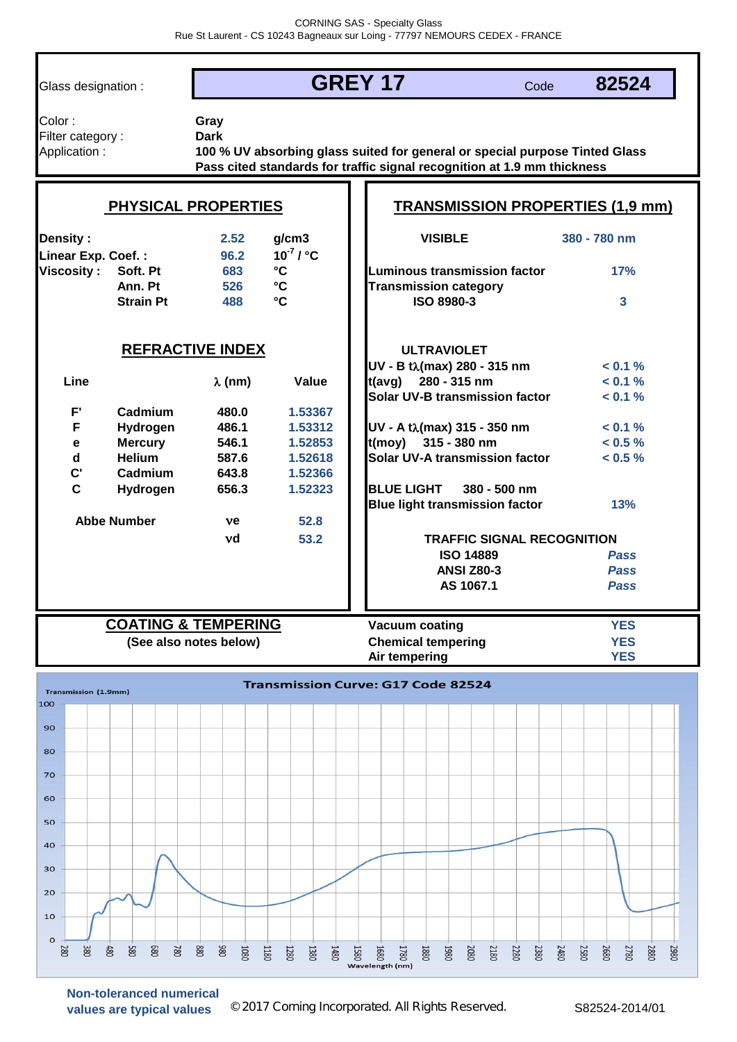Glass designation :

## **GREY 17**

Code **82524**

| Color:            |  |
|-------------------|--|
| Filter category : |  |
| Application:      |  |

**Gray Dark**

**Pass cited standards for traffic signal recognition at 1.9 mm thickness 100 % UV absorbing glass suited for general or special purpose Tinted Glass** 

|                                       | PHYSICAL PROPERTIES            |                        |                                | <b>TRANSMISSION PROPERTIES (1,9 mm)</b> |                |
|---------------------------------------|--------------------------------|------------------------|--------------------------------|-----------------------------------------|----------------|
| <b>Density:</b><br>Linear Exp. Coef.: |                                | 2.52<br>96.2           | g/cm3<br>$10^7$ / $^{\circ}$ C | <b>VISIBLE</b>                          | 380 - 780 nm   |
| <b>Viscosity:</b>                     | Soft. Pt                       | 683                    | $\mathbf{C}$                   | Luminous transmission factor            | 17%            |
|                                       | Ann. Pt                        | 526                    | $\mathbf{C}$                   | <b>Transmission category</b>            |                |
|                                       | <b>Strain Pt</b>               | 488                    | $\mathbf{C}$                   | <b>ISO 8980-3</b>                       | $\overline{3}$ |
|                                       | <b>REFRACTIVE INDEX</b>        |                        |                                | <b>ULTRAVIOLET</b>                      |                |
|                                       |                                |                        |                                | UV - B tλ(max) 280 - 315 nm             | < 0.1 %        |
| Line                                  |                                | $\lambda$ (nm)         | Value                          | $t(avg)$ 280 - 315 nm                   | $< 0.1 \%$     |
|                                       |                                |                        |                                | <b>Solar UV-B transmission factor</b>   | $< 0.1 \%$     |
| $F^{\prime}$                          | Cadmium                        | 480.0                  | 1.53367                        |                                         |                |
| F                                     | Hydrogen                       | 486.1                  | 1.53312                        | $UV - A tλ$ (max) 315 - 350 nm          | < 0.1 %        |
| $\mathbf e$                           | <b>Mercury</b>                 | 546.1                  | 1.52853                        | $t(moy)$ 315 - 380 nm                   | $< 0.5 \%$     |
| $\mathbf d$                           | <b>Helium</b>                  | 587.6                  | 1.52618                        | <b>Solar UV-A transmission factor</b>   | $< 0.5 \%$     |
| $\mathbf{C}^{\prime}$                 | Cadmium                        | 643.8                  | 1.52366                        |                                         |                |
| C                                     | Hydrogen                       | 656.3                  | 1.52323                        | <b>BLUE LIGHT</b><br>380 - 500 nm       |                |
|                                       |                                |                        |                                | <b>Blue light transmission factor</b>   | 13%            |
|                                       | <b>Abbe Number</b>             | ve                     | 52.8                           |                                         |                |
|                                       |                                | νd                     | 53.2                           | <b>TRAFFIC SIGNAL RECOGNITION</b>       |                |
|                                       |                                |                        |                                | <b>ISO 14889</b>                        | <b>Pass</b>    |
|                                       |                                |                        |                                | <b>ANSI Z80-3</b>                       | <b>Pass</b>    |
|                                       |                                |                        |                                | AS 1067.1                               | <b>Pass</b>    |
|                                       |                                |                        |                                |                                         |                |
|                                       | <b>COATING &amp; TEMPERING</b> |                        |                                | <b>Vacuum coating</b>                   | <b>YES</b>     |
|                                       |                                | (See also notes below) |                                | <b>Chemical tempering</b>               | <b>YES</b>     |
|                                       |                                |                        |                                | Air tempering                           | <b>YES</b>     |



**Non-toleranced numerical** values are typical values <sup>©</sup> 2017 Corning Incorporated. All Rights Reserved. S82524-2014/01